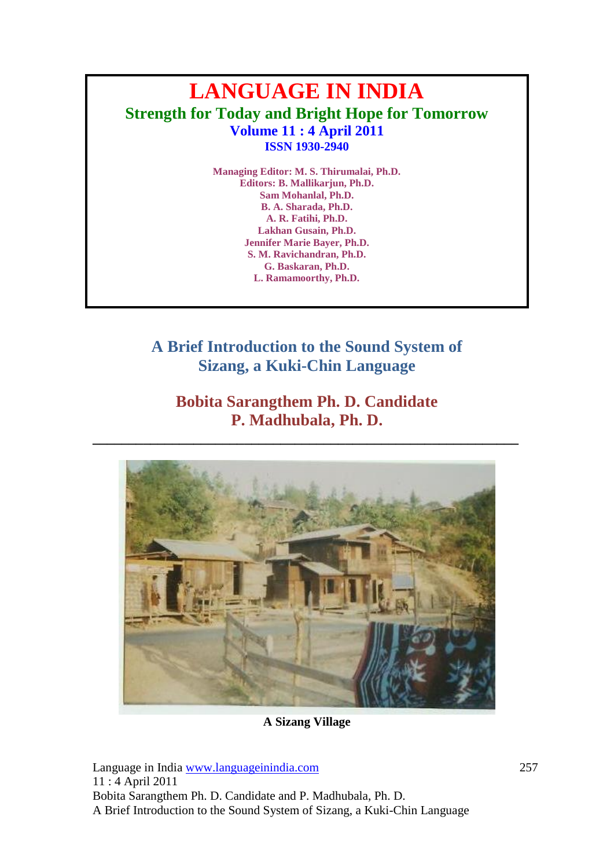# **LANGUAGE IN INDIA Strength for Today and Bright Hope for Tomorrow Volume 11 : 4 April 2011 ISSN 1930-2940**

**Managing Editor: M. S. Thirumalai, Ph.D. Editors: B. Mallikarjun, Ph.D. Sam Mohanlal, Ph.D. B. A. Sharada, Ph.D. A. R. Fatihi, Ph.D. Lakhan Gusain, Ph.D. Jennifer Marie Bayer, Ph.D. S. M. Ravichandran, Ph.D. G. Baskaran, Ph.D. L. Ramamoorthy, Ph.D.**

**A Brief Introduction to the Sound System of Sizang, a Kuki-Chin Language**

# **Bobita Sarangthem Ph. D. Candidate P. Madhubala, Ph. D.**

**\_\_\_\_\_\_\_\_\_\_\_\_\_\_\_\_\_\_\_\_\_\_\_\_\_\_\_\_\_\_\_\_\_\_\_\_\_\_\_\_\_\_\_\_\_\_\_\_\_\_\_\_\_\_\_\_\_\_\_**



**A Sizang Village**

Language in India www.languageinindia.com 257 11 : 4 April 2011 Bobita Sarangthem Ph. D. Candidate and P. Madhubala, Ph. D. A Brief Introduction to the Sound System of Sizang, a Kuki-Chin Language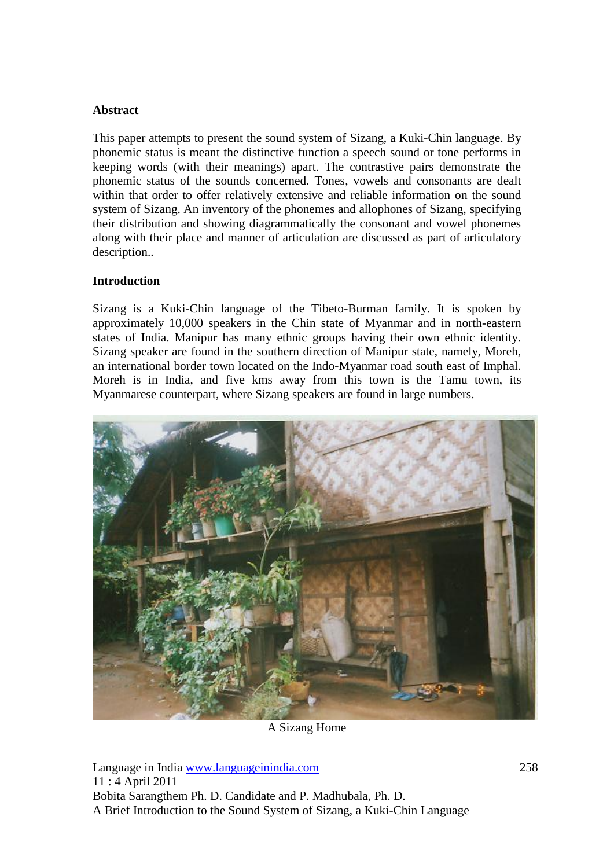## **Abstract**

This paper attempts to present the sound system of Sizang, a Kuki-Chin language. By phonemic status is meant the distinctive function a speech sound or tone performs in keeping words (with their meanings) apart. The contrastive pairs demonstrate the phonemic status of the sounds concerned. Tones, vowels and consonants are dealt within that order to offer relatively extensive and reliable information on the sound system of Sizang. An inventory of the phonemes and allophones of Sizang, specifying their distribution and showing diagrammatically the consonant and vowel phonemes along with their place and manner of articulation are discussed as part of articulatory description..

## **Introduction**

Sizang is a Kuki-Chin language of the Tibeto-Burman family. It is spoken by approximately 10,000 speakers in the Chin state of Myanmar and in north-eastern states of India. Manipur has many ethnic groups having their own ethnic identity. Sizang speaker are found in the southern direction of Manipur state, namely, Moreh, an international border town located on the Indo-Myanmar road south east of Imphal. Moreh is in India, and five kms away from this town is the Tamu town, its Myanmarese counterpart, where Sizang speakers are found in large numbers.



A Sizang Home

Language in India www.languageinindia.com 258 11 : 4 April 2011 Bobita Sarangthem Ph. D. Candidate and P. Madhubala, Ph. D. A Brief Introduction to the Sound System of Sizang, a Kuki-Chin Language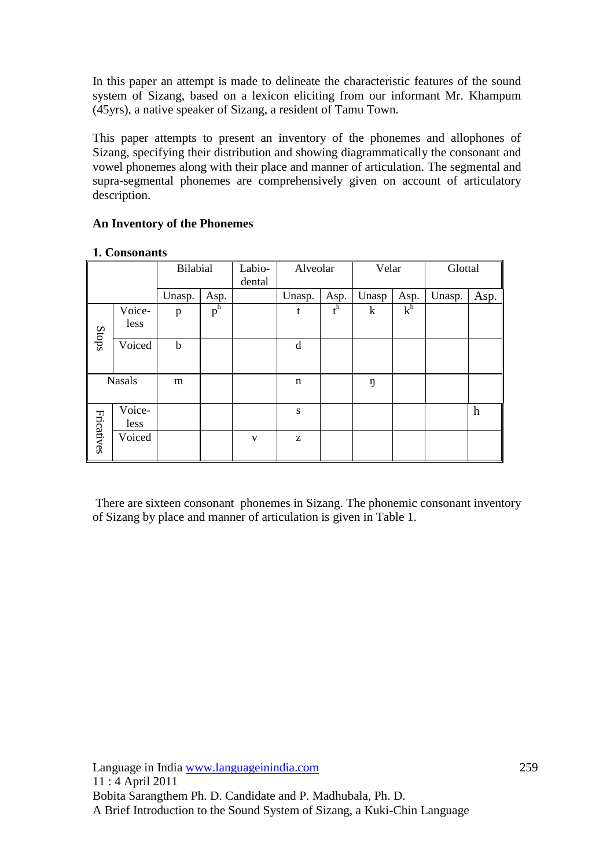In this paper an attempt is made to delineate the characteristic features of the sound system of Sizang, based on a lexicon eliciting from our informant Mr. Khampum (45yrs), a native speaker of Sizang, a resident of Tamu Town.

This paper attempts to present an inventory of the phonemes and allophones of Sizang, specifying their distribution and showing diagrammatically the consonant and vowel phonemes along with their place and manner of articulation. The segmental and supra-segmental phonemes are comprehensively given on account of articulatory description.

# **An Inventory of the Phonemes**

|            |                | Bilabial    |       | Labio-<br>dental | Alveolar |       | Velar |       | Glottal |                  |
|------------|----------------|-------------|-------|------------------|----------|-------|-------|-------|---------|------------------|
|            |                | Unasp.      | Asp.  |                  | Unasp.   | Asp.  | Unasp | Asp.  | Unasp.  | Asp.             |
| Stops      | Voice-<br>less | p           | $p^h$ |                  | t        | $t^h$ | k     | $k^h$ |         |                  |
|            | Voiced         | $\mathbf b$ |       |                  | d        |       |       |       |         |                  |
|            | <b>Nasals</b>  | m           |       |                  | n        |       | ŋ     |       |         |                  |
|            | Voice-<br>less |             |       |                  | S        |       |       |       |         | $\boldsymbol{h}$ |
| Fricatives | Voiced         |             |       | V                | Z        |       |       |       |         |                  |

#### **1. Consonants**

There are sixteen consonant phonemes in Sizang. The phonemic consonant inventory of Sizang by place and manner of articulation is given in Table 1.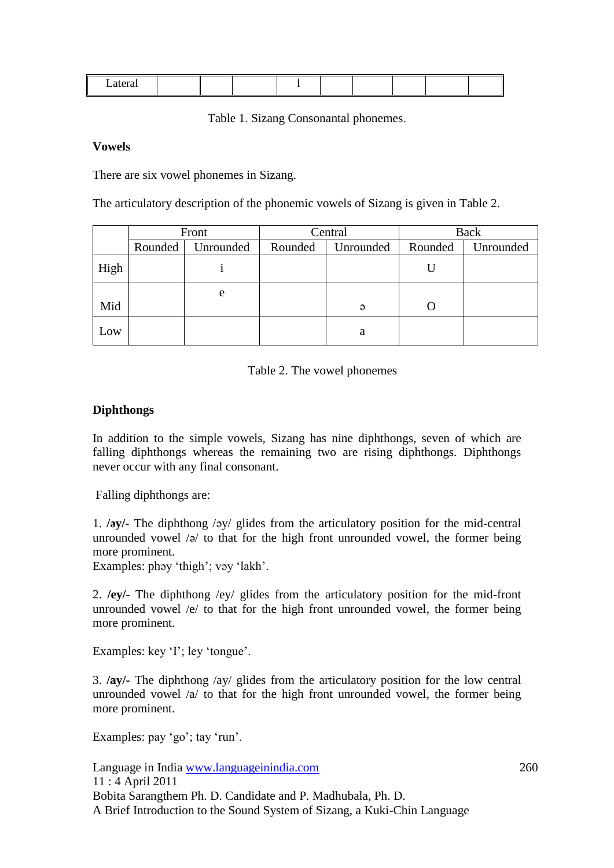Table 1. Sizang Consonantal phonemes.

#### **Vowels**

There are six vowel phonemes in Sizang.

The articulatory description of the phonemic vowels of Sizang is given in Table 2.

|      | Front   |           | Central |           | Back    |           |
|------|---------|-----------|---------|-----------|---------|-----------|
|      | Rounded | Unrounded | Rounded | Unrounded | Rounded | Unrounded |
| High |         |           |         |           |         |           |
|      |         | e         |         |           |         |           |
| Mid  |         |           |         | $\Theta$  |         |           |
| Low  |         |           |         | a         |         |           |

Table 2. The vowel phonemes

## **Diphthongs**

In addition to the simple vowels, Sizang has nine diphthongs, seven of which are falling diphthongs whereas the remaining two are rising diphthongs. Diphthongs never occur with any final consonant.

Falling diphthongs are:

1. **/əy/-** The diphthong /əy/ glides from the articulatory position for the mid-central unrounded vowel  $\sqrt{2}$  to that for the high front unrounded vowel, the former being more prominent.

Examples: phəy 'thigh'; vəy 'lakh'.

2. **/ey/-** The diphthong /ey/ glides from the articulatory position for the mid-front unrounded vowel /e/ to that for the high front unrounded vowel, the former being more prominent.

Examples: key 'I'; ley 'tongue'.

3. **/ay/-** The diphthong /ay/ glides from the articulatory position for the low central unrounded vowel  $\alpha$  to that for the high front unrounded vowel, the former being more prominent.

Examples: pay 'go'; tay 'run'.

Language in India www.languageinindia.com 260 11 : 4 April 2011 Bobita Sarangthem Ph. D. Candidate and P. Madhubala, Ph. D. A Brief Introduction to the Sound System of Sizang, a Kuki-Chin Language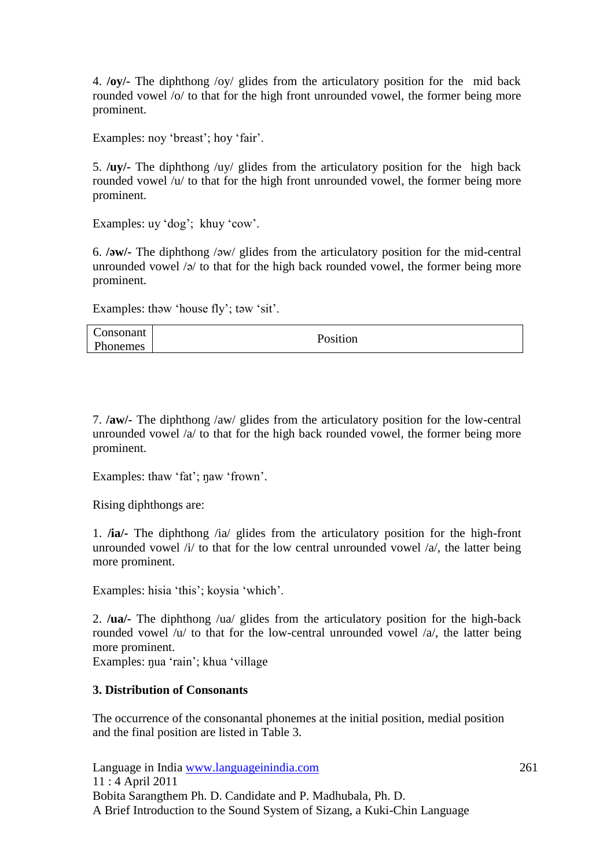4. **/oy/-** The diphthong /oy/ glides from the articulatory position for the mid back rounded vowel /o/ to that for the high front unrounded vowel, the former being more prominent.

Examples: noy 'breast'; hoy 'fair'.

5. **/uy/-** The diphthong /uy/ glides from the articulatory position for the high back rounded vowel /u/ to that for the high front unrounded vowel, the former being more prominent.

Examples: uy 'dog'; khuy 'cow'.

6. **/əw/-** The diphthong /əw/ glides from the articulatory position for the mid-central unrounded vowel /ə/ to that for the high back rounded vowel, the former being more prominent.

Examples: thəw 'house fly'; təw 'sit'.

| Consonant | Position |
|-----------|----------|
| Phonemes  |          |

7. **/aw/-** The diphthong /aw/ glides from the articulatory position for the low-central unrounded vowel /a/ to that for the high back rounded vowel, the former being more prominent.

Examples: thaw 'fat'; naw 'frown'.

Rising diphthongs are:

1. **/ia/-** The diphthong /ia/ glides from the articulatory position for the high-front unrounded vowel  $/i/$  to that for the low central unrounded vowel  $/a/$ , the latter being more prominent.

Examples: hisia 'this'; koysia 'which'.

2. **/ua/-** The diphthong /ua/ glides from the articulatory position for the high-back rounded vowel  $/u/$  to that for the low-central unrounded vowel  $/a/$ , the latter being more prominent.

Examples: ŋua 'rain'; khua 'village

## **3. Distribution of Consonants**

The occurrence of the consonantal phonemes at the initial position, medial position and the final position are listed in Table 3.

Language in India www.languageinindia.com 261 11 : 4 April 2011 Bobita Sarangthem Ph. D. Candidate and P. Madhubala, Ph. D. A Brief Introduction to the Sound System of Sizang, a Kuki-Chin Language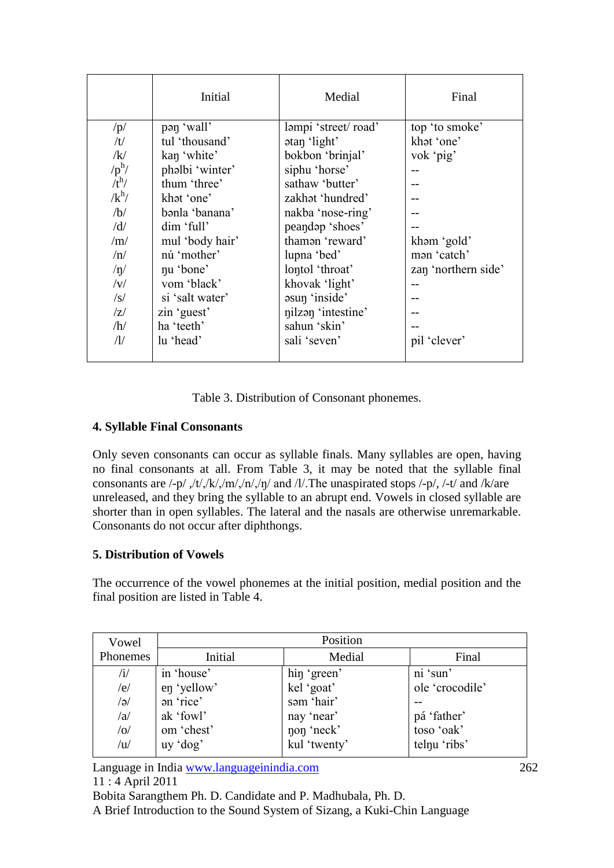|              | Initial         | Medial              | Final               |
|--------------|-----------------|---------------------|---------------------|
| /p/          | pan 'wall'      | ləmpi 'street/road' | top 'to smoke'      |
| /t/          | tul 'thousand'  | atan 'light'        | khat 'one'          |
| /k/          | kan 'white'     | bokbon 'brinjal'    | vok 'pig'           |
| $/p^h/$      | phəlbi 'winter' | siphu 'horse'       |                     |
| $/t^h/$      | thum 'three'    | sathaw 'butter'     |                     |
| $\sqrt{k^h}$ | khat 'one'      | zakhat 'hundred'    |                     |
| /b/          | bənla 'banana'  | nakba 'nose-ring'   |                     |
| /d/          | dim 'full'      | peandap 'shoes'     |                     |
| /m/          | mul 'body hair' | thaman 'reward'     | kham 'gold'         |
| /n/          | nú 'mother'     | lupna 'bed'         | man 'catch'         |
| /n/          | nu 'bone'       | lontol 'throat'     | zan 'northern side' |
| V            | vom 'black'     | khovak 'light'      |                     |
| $\sqrt{s}$   | si 'salt water' | asun 'inside'       |                     |
| Z            | zin 'guest'     | nilzan 'intestine'  |                     |
| /h/          | ha 'teeth'      | sahun 'skin'        |                     |
| $\Lambda$    | lu 'head'       | sali 'seven'        | pil 'clever'        |
|              |                 |                     |                     |

Table 3. Distribution of Consonant phonemes.

# **4. Syllable Final Consonants**

Only seven consonants can occur as syllable finals. Many syllables are open, having no final consonants at all. From Table 3, it may be noted that the syllable final consonants are  $\frac{1-p}{f}$ ,  $\frac{1}{f}$ ,  $\frac{1}{f}$ ,  $\frac{1}{m}$ ,  $\frac{1}{m}$  and  $\frac{1}{l}$ . The unaspirated stops  $\frac{1-p}{f}$ ,  $\frac{1}{l}$  and  $\frac{1}{k}$  are unreleased, and they bring the syllable to an abrupt end. Vowels in closed syllable are shorter than in open syllables. The lateral and the nasals are otherwise unremarkable. Consonants do not occur after diphthongs.

# **5. Distribution of Vowels**

The occurrence of the vowel phonemes at the initial position, medial position and the final position are listed in Table 4.

| Vowel          |             | Position     |                 |
|----------------|-------------|--------------|-----------------|
| Phonemes       | Initial     | Medial       | Final           |
| $\mathbf{H}$   | in 'house'  | hin 'green'  | ni 'sun'        |
| /e/            | en 'yellow' | kel 'goat'   | ole 'crocodile' |
| $\sqrt{e}$     | an 'rice'   | sam 'hair'   |                 |
| /a/            | ak 'fowl'   | nay 'near'   | pá 'father'     |
| o              | om 'chest'  | non 'neck'   | toso 'oak'      |
| $\overline{u}$ | uy 'dog'    | kul 'twenty' | telnu 'ribs'    |

Language in India www.languageinindia.com 262 11 : 4 April 2011 Bobita Sarangthem Ph. D. Candidate and P. Madhubala, Ph. D.

A Brief Introduction to the Sound System of Sizang, a Kuki-Chin Language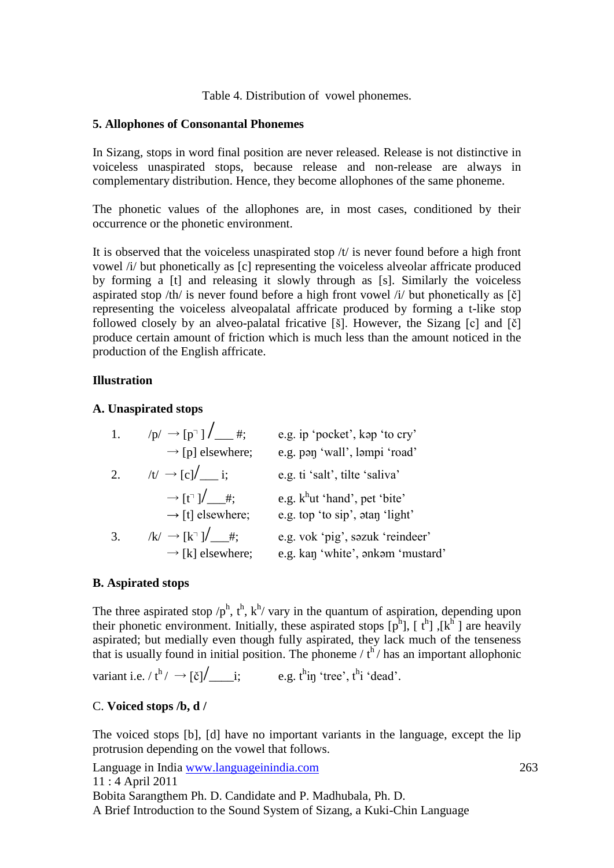Table 4. Distribution of vowel phonemes.

## **5. Allophones of Consonantal Phonemes**

In Sizang, stops in word final position are never released. Release is not distinctive in voiceless unaspirated stops, because release and non-release are always in complementary distribution. Hence, they become allophones of the same phoneme.

The phonetic values of the allophones are, in most cases, conditioned by their occurrence or the phonetic environment.

It is observed that the voiceless unaspirated stop  $/t/$  is never found before a high front vowel /i/ but phonetically as [c] representing the voiceless alveolar affricate produced by forming a [t] and releasing it slowly through as [s]. Similarly the voiceless aspirated stop /th/ is never found before a high front vowel /i/ but phonetically as [č] representing the voiceless alveopalatal affricate produced by forming a t-like stop followed closely by an alveo-palatal fricative [š]. However, the Sizang [c] and [č] produce certain amount of friction which is much less than the amount noticed in the production of the English affricate.

## **Illustration**

## **A. Unaspirated stops**

| 1. | $/p \rightarrow [p^{\dagger}]$ $/$ #;<br>$\rightarrow$ [p] elsewhere;            | e.g. ip 'pocket', kap 'to cry'<br>e.g. pan 'wall', lampi 'road'       |
|----|----------------------------------------------------------------------------------|-----------------------------------------------------------------------|
| 2. | $/t' \rightarrow [c]/$ i;                                                        | e.g. ti 'salt', tilte 'saliva'                                        |
|    | $\rightarrow$ [t <sup>-1</sup> ] $\leftarrow$ #;<br>$\rightarrow$ [t] elsewhere; | e.g. $k^h$ ut 'hand', pet 'bite'<br>e.g. top 'to sip', atan 'light'   |
| 3. | $/k \rightarrow [k^{\dagger}] / \qquad #;$<br>$\rightarrow$ [k] elsewhere;       | e.g. vok 'pig', səzuk 'reindeer'<br>e.g. kan 'white', onkom 'mustard' |

# **B. Aspirated stops**

The three aspirated stop  $/p^h$ ,  $t^h$ ,  $k^h$  vary in the quantum of aspiration, depending upon their phonetic environment. Initially, these aspirated stops  $[p^h]$ ,  $[t^h]$ ,  $[k^h]$  are heavily aspirated; but medially even though fully aspirated, they lack much of the tenseness that is usually found in initial position. The phoneme  $\ell t^{h}$  has an important allophonic

variant i.e.  $/t^h$   $\rightarrow$   $[\check{c}$   $]$   $\frac{1}{\cdots}$ ; e.g.  $t^h$ i free',  $t^h$ i 'dead'.

# C. **Voiced stops /b, d /**

The voiced stops [b], [d] have no important variants in the language, except the lip protrusion depending on the vowel that follows.

Language in India www.languageinindia.com 263 11 : 4 April 2011 Bobita Sarangthem Ph. D. Candidate and P. Madhubala, Ph. D. A Brief Introduction to the Sound System of Sizang, a Kuki-Chin Language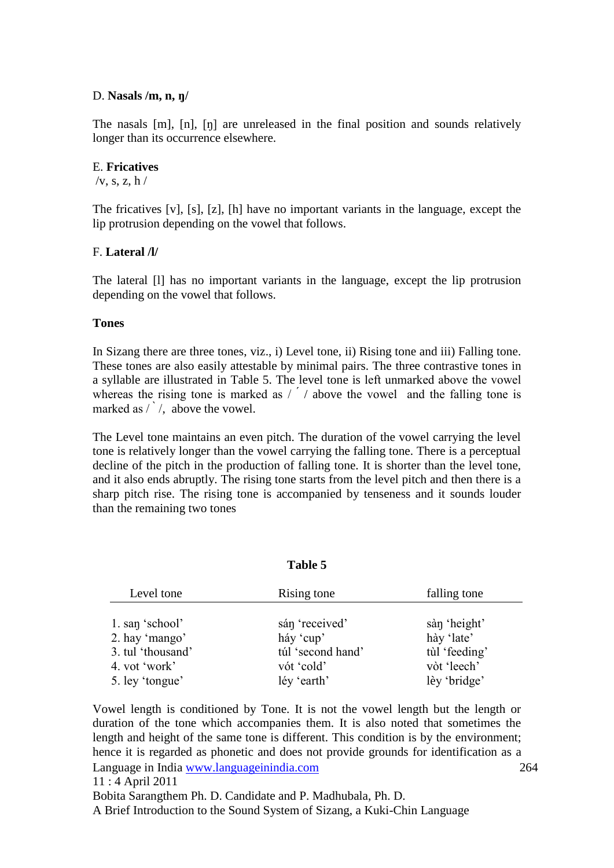#### D. **Nasals /m, n, ŋ/**

The nasals [m], [n], [ŋ] are unreleased in the final position and sounds relatively longer than its occurrence elsewhere.

#### E. **Fricatives**

 $/v$ , s, z, h  $/$ 

The fricatives [v], [s], [z], [h] have no important variants in the language, except the lip protrusion depending on the vowel that follows.

## F. **Lateral /l/**

The lateral [l] has no important variants in the language, except the lip protrusion depending on the vowel that follows.

#### **Tones**

In Sizang there are three tones, viz., i) Level tone, ii) Rising tone and iii) Falling tone. These tones are also easily attestable by minimal pairs. The three contrastive tones in a syllable are illustrated in Table 5. The level tone is left unmarked above the vowel whereas the rising tone is marked as  $/$  / above the vowel and the falling tone is marked as  $\left(\frac{1}{2}\right)$ , above the vowel.

The Level tone maintains an even pitch. The duration of the vowel carrying the level tone is relatively longer than the vowel carrying the falling tone. There is a perceptual decline of the pitch in the production of falling tone. It is shorter than the level tone, and it also ends abruptly. The rising tone starts from the level pitch and then there is a sharp pitch rise. The rising tone is accompanied by tenseness and it sounds louder than the remaining two tones

#### **Table 5**

| Level tone        | Rising tone       | falling tone  |
|-------------------|-------------------|---------------|
|                   |                   |               |
| 1. san 'school'   | sán 'received'    | sàn 'height'  |
| 2. hay 'mango'    | háy 'cup'         | hày 'late'    |
| 3. tul 'thousand' | túl 'second hand' | tùl 'feeding' |
| 4. vot 'work'     | vót 'cold'        | vòt 'leech'   |
| 5. ley 'tongue'   | léy 'earth'       | lèy 'bridge'  |

Language in India www.languageinindia.com 264 11 : 4 April 2011 Bobita Sarangthem Ph. D. Candidate and P. Madhubala, Ph. D. Vowel length is conditioned by Tone. It is not the vowel length but the length or duration of the tone which accompanies them. It is also noted that sometimes the length and height of the same tone is different. This condition is by the environment; hence it is regarded as phonetic and does not provide grounds for identification as a

A Brief Introduction to the Sound System of Sizang, a Kuki-Chin Language